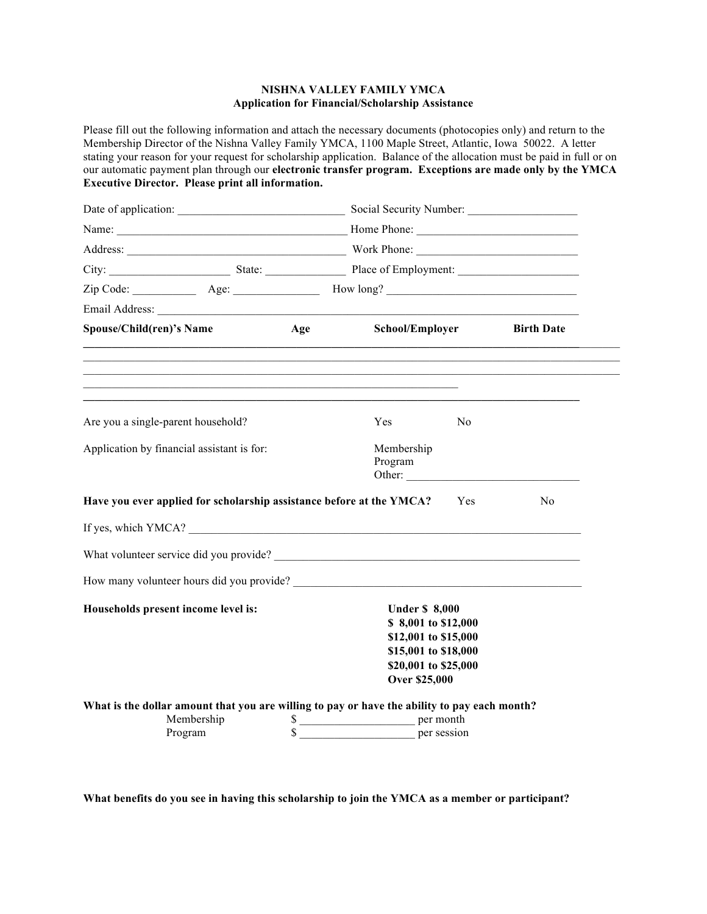## **NISHNA VALLEY FAMILY YMCA Application for Financial/Scholarship Assistance**

Please fill out the following information and attach the necessary documents (photocopies only) and return to the Membership Director of the Nishna Valley Family YMCA, 1100 Maple Street, Atlantic, Iowa 50022. A letter stating your reason for your request for scholarship application. Balance of the allocation must be paid in full or on our automatic payment plan through our **electronic transfer program. Exceptions are made only by the YMCA Executive Director. Please print all information.**

|                                                                                              | Address: Work Phone: |                                              |          |                   |
|----------------------------------------------------------------------------------------------|----------------------|----------------------------------------------|----------|-------------------|
|                                                                                              |                      |                                              |          |                   |
|                                                                                              |                      |                                              |          |                   |
|                                                                                              |                      |                                              |          |                   |
| Spouse/Child(ren)'s Name                                                                     | Age                  | School/Employer                              |          | <b>Birth Date</b> |
| ,我们也不能在这里的时候,我们也不能在这里的时候,我们也不能会在这里的时候,我们也不能会在这里的时候,我们也不能会在这里的时候,我们也不能会在这里的时候,我们也不            |                      |                                              |          |                   |
| Are you a single-parent household?                                                           |                      | Yes                                          | $\rm No$ |                   |
|                                                                                              |                      |                                              |          |                   |
| Application by financial assistant is for:                                                   |                      | Membership<br>Program<br>Other:              |          |                   |
| Have you ever applied for scholarship assistance before at the YMCA?                         |                      |                                              | Yes      | N <sub>0</sub>    |
| If yes, which YMCA?                                                                          |                      |                                              |          |                   |
| What volunteer service did you provide?                                                      |                      |                                              |          |                   |
|                                                                                              |                      |                                              |          |                   |
| Households present income level is:                                                          |                      | <b>Under \$8,000</b>                         |          |                   |
|                                                                                              |                      | \$8,001 to \$12,000                          |          |                   |
|                                                                                              |                      | \$12,001 to \$15,000                         |          |                   |
|                                                                                              |                      | \$15,001 to \$18,000<br>\$20,001 to \$25,000 |          |                   |
|                                                                                              |                      | <b>Over \$25,000</b>                         |          |                   |
| What is the dollar amount that you are willing to pay or have the ability to pay each month? |                      |                                              |          |                   |
| Membership                                                                                   |                      | \$                                           |          |                   |
| Program                                                                                      |                      | per session                                  |          |                   |

**What benefits do you see in having this scholarship to join the YMCA as a member or participant?**